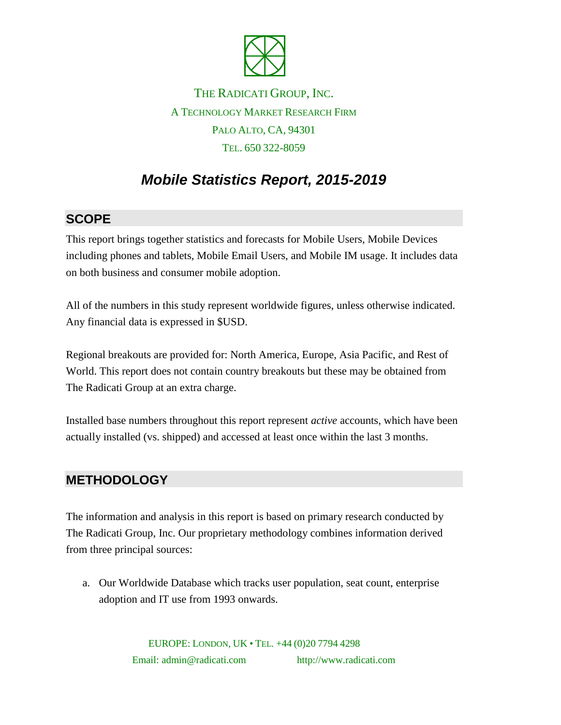

THE RADICATI GROUP, INC. A TECHNOLOGY MARKET RESEARCH FIRM PALO ALTO, CA, 94301 TEL. 650 322-8059

# *Mobile Statistics Report, 2015-2019*

### **SCOPE**

This report brings together statistics and forecasts for Mobile Users, Mobile Devices including phones and tablets, Mobile Email Users, and Mobile IM usage. It includes data on both business and consumer mobile adoption.

All of the numbers in this study represent worldwide figures, unless otherwise indicated. Any financial data is expressed in \$USD.

Regional breakouts are provided for: North America, Europe, Asia Pacific, and Rest of World. This report does not contain country breakouts but these may be obtained from The Radicati Group at an extra charge.

Installed base numbers throughout this report represent *active* accounts, which have been actually installed (vs. shipped) and accessed at least once within the last 3 months.

#### **METHODOLOGY**

The information and analysis in this report is based on primary research conducted by The Radicati Group, Inc. Our proprietary methodology combines information derived from three principal sources:

a. Our Worldwide Database which tracks user population, seat count, enterprise adoption and IT use from 1993 onwards.

> EUROPE: LONDON, UK • TEL. +44 (0)20 7794 4298 Email: admin@radicati.com http://www.radicati.com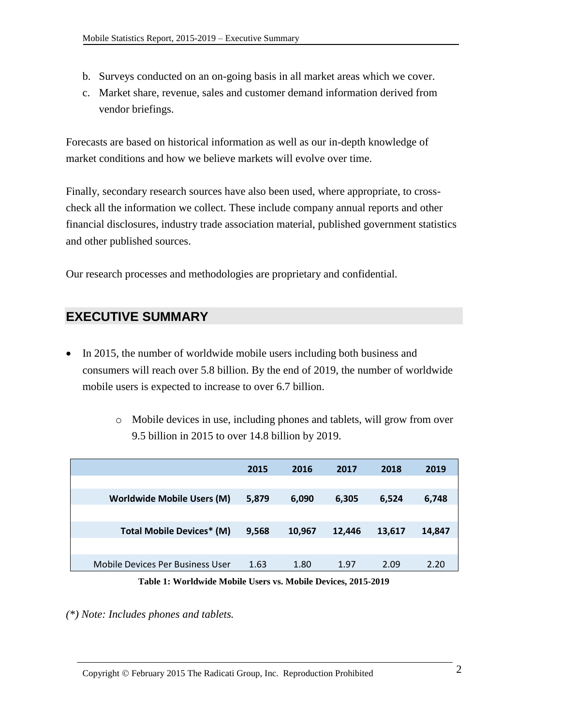- b. Surveys conducted on an on-going basis in all market areas which we cover.
- c. Market share, revenue, sales and customer demand information derived from vendor briefings.

Forecasts are based on historical information as well as our in-depth knowledge of market conditions and how we believe markets will evolve over time.

Finally, secondary research sources have also been used, where appropriate, to crosscheck all the information we collect. These include company annual reports and other financial disclosures, industry trade association material, published government statistics and other published sources.

Our research processes and methodologies are proprietary and confidential.

## **EXECUTIVE SUMMARY**

- In 2015, the number of worldwide mobile users including both business and consumers will reach over 5.8 billion. By the end of 2019, the number of worldwide mobile users is expected to increase to over 6.7 billion.
	- o Mobile devices in use, including phones and tablets, will grow from over 9.5 billion in 2015 to over 14.8 billion by 2019.

|                                   | 2015  | 2016   | 2017   | 2018   | 2019   |
|-----------------------------------|-------|--------|--------|--------|--------|
|                                   |       |        |        |        |        |
| <b>Worldwide Mobile Users (M)</b> | 5,879 | 6,090  | 6,305  | 6,524  | 6,748  |
|                                   |       |        |        |        |        |
| <b>Total Mobile Devices* (M)</b>  | 9,568 | 10,967 | 12.446 | 13,617 | 14,847 |
|                                   |       |        |        |        |        |
| Mobile Devices Per Business User  | 1.63  | 1.80   | 1.97   | 2.09   | 2.20   |

**Table 1: Worldwide Mobile Users vs. Mobile Devices, 2015-2019**

*(\*) Note: Includes phones and tablets.*